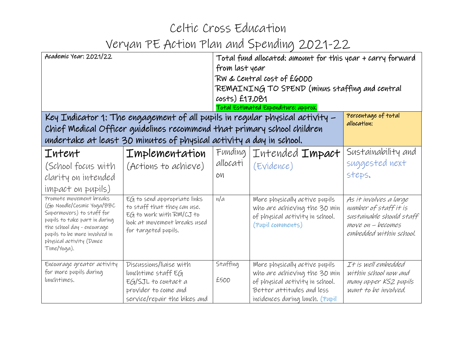| Academic Year: 2021/22                                                                                                                                                                                                                                                                     |                                                                                                                                                                                                                                | Total fund allocated: amount for this year + carry forward<br>from last year<br>RW & Central cost of £6000<br>REMAINING TO SPEND (minus staffing and central<br>costs) £17,081<br>Total Estimated Expenditure: approx. |                                                                                                                                                                  |                                                                                                                                                                               |
|--------------------------------------------------------------------------------------------------------------------------------------------------------------------------------------------------------------------------------------------------------------------------------------------|--------------------------------------------------------------------------------------------------------------------------------------------------------------------------------------------------------------------------------|------------------------------------------------------------------------------------------------------------------------------------------------------------------------------------------------------------------------|------------------------------------------------------------------------------------------------------------------------------------------------------------------|-------------------------------------------------------------------------------------------------------------------------------------------------------------------------------|
|                                                                                                                                                                                                                                                                                            | Key Indicator 1: The engagement of all pupils in regular physical activity -<br>Chief Medical Officer quidelines recommend that primary school children<br>undertake at least 30 minutes of physical activity a day in school. |                                                                                                                                                                                                                        |                                                                                                                                                                  | Percentage of total<br>allocation:                                                                                                                                            |
| Intent<br>(School focus with<br>clarity on intended<br>impact on pupils)<br>Promote movement breaks<br>(Go Noodle/Cosmic Yoga/BBC<br>Supermovers) to staff for<br>pupils to take part in during<br>the school day - encourage<br>pupils to be more involved in<br>physical activity (Dance | Implementation<br>(Actions to achieve)<br>EG to send appropriate links<br>to staff that they can use.<br>EG to work with RM/CJ to<br>look at movement breaks used<br>for targeted pupils.                                      | Funding<br>allocati<br>OИ<br>n/a                                                                                                                                                                                       | Intended <b>Impact</b><br>(Evidence)<br>More physically active pupils<br>who are achieving the 30 min<br>of physical activity in school.<br>(Pupil comments)     | Sustainability and<br>suggested next<br>steps.<br>As it involves a large<br>number of staff it is<br>sustainable should staff<br>move on - becomes<br>embedded within school. |
| Time/Yoga).<br>Encourage greater activity<br>for more pupils during<br>lunchtimes.                                                                                                                                                                                                         | Discussions/liaise with<br>lunchtime staff EG<br>EG/SJL to contact a<br>provider to come and<br>service/repair the bikes and                                                                                                   | Staffing<br>£500                                                                                                                                                                                                       | More physically active pupils<br>who are achieving the 30 min<br>of physical activity in school.<br>Better attitudes and less<br>incidences during lunch. (Pupil | It is well embedded<br>within school now and<br>many upper KS2 pupils<br>want to be involved.                                                                                 |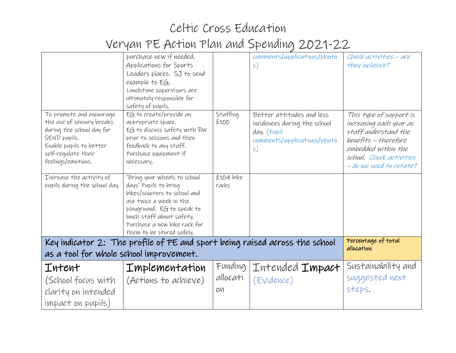## Celtic Cross Education Veryan PE Action Plan and Spending 2021-22

|                                                                                                                                                                            | purchase new if needed.<br>Applications for Sports<br>Leaders places. SJ to send<br>example to EG.<br>Lunchtime supervisors are<br>ultimately responsible for<br>safety of pupils.                                                       |                           | comments/applications/photo<br>$\mathsf{S}$                                                                             | Check activities - are<br>they inclusive?                                                                                                                                        |
|----------------------------------------------------------------------------------------------------------------------------------------------------------------------------|------------------------------------------------------------------------------------------------------------------------------------------------------------------------------------------------------------------------------------------|---------------------------|-------------------------------------------------------------------------------------------------------------------------|----------------------------------------------------------------------------------------------------------------------------------------------------------------------------------|
| To promote and encourage<br>the use of sensory breaks<br>during the school day for<br>SEND pupils.<br>Enable pupils to better<br>self-regulate their<br>feelings/emotions. | EG to create/provide an<br>appropriate space.<br>EG to discuss safety with RW<br>prior to sessions and then<br>feedback to any staff.<br>Purchase equipment if<br>necessary.                                                             | Staffing<br>£100          | Better attitudes and less<br>incidences during the school<br>day. (Pupil<br>comments/applications/photo<br>$\mathsf{S}$ | This type of support is<br>increasing each year as<br>staff understand the<br>benefits - therefore<br>embedded within the<br>school. Check activities<br>- do we need to rotate? |
| Increase the activity of<br>pupils during the school day.                                                                                                                  | 'Bring your wheels to school<br>days' Pupils to bring<br>bikes/scooters to school and<br>use twice a week in the<br>playground. EG to speak to<br>lunch staff about safety.<br>Purchase a new bike rack for<br>them to be stored safely. | £104 bike<br>racks        |                                                                                                                         |                                                                                                                                                                                  |
| Percentage of total<br>Key indicator 2: The profile of PE and sport being raised across the school<br>allocation:<br>as a tool for whole school improvement.               |                                                                                                                                                                                                                                          |                           |                                                                                                                         |                                                                                                                                                                                  |
| Intent<br>(School focus with<br>clarity on intended<br>impact on pupils)                                                                                                   | <b>Implementation</b><br>(Actions to achieve)                                                                                                                                                                                            | Funding<br>allocati<br>OИ | Intended <b>Impact</b><br>(Evidence)                                                                                    | Sustainability and<br>suggested next<br>steps.                                                                                                                                   |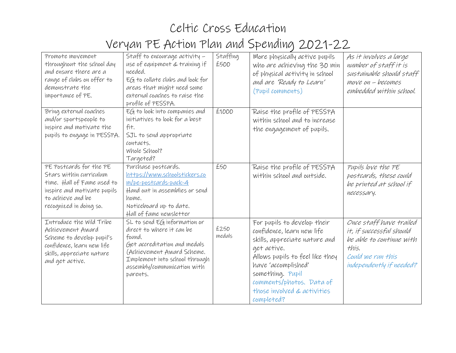| Promote movement<br>throughout the school day<br>and ensure there are a<br>range of clubs on offer to<br>demonstrate the<br>importance of PE.                   | Staff to encourage activity -<br>use of equipment & training if<br>needed.<br>$EG$ to collate clubs and look for<br>areas that might need some<br>external coaches to raise the<br>profile of PESSPA.             | Staffing<br>£500 | More physically active pupils<br>who are achieving the 30 min<br>of physical activity in school<br>and are Ready to Learn'<br>(Pupil comments)                                                                                                                   | As it involves a large<br>number of staff it is<br>sustainable should staff<br>$move on - becomes$<br>embedded within school.             |
|-----------------------------------------------------------------------------------------------------------------------------------------------------------------|-------------------------------------------------------------------------------------------------------------------------------------------------------------------------------------------------------------------|------------------|------------------------------------------------------------------------------------------------------------------------------------------------------------------------------------------------------------------------------------------------------------------|-------------------------------------------------------------------------------------------------------------------------------------------|
| Bring external coaches<br>and/or sportspeople to<br>inspire and motivate the<br>pupils to engage in PESSPA.                                                     | EG to look into companies and<br>initiatives to look for a best<br>fit.<br>SJL to send appropriate<br>contacts.<br>Whole School?<br>Targeted?                                                                     | £1000            | Raise the profile of PESSPA<br>within school and to increase<br>the engagement of pupils.                                                                                                                                                                        |                                                                                                                                           |
| PE Postcards for the PE<br>Stars within curriculum<br>time. Hall of Fame used to<br>inspire and motivate pupils<br>to achieve and be<br>recognized in doing so. | Purchase postcards.<br>https://www.schoolstickers.co<br>m/pe-postcards-pack-4<br>Hand out in assemblies or send<br>home.<br>Noticeboard up to date.<br>Hall of fame newsletter                                    | £50              | Raise the profile of PESSPA<br>within school and outside.                                                                                                                                                                                                        | Pupils love the PE<br>postcards, these could<br>be printed at school if<br>necessary.                                                     |
| Introduce the Wild Tribe<br>Achievement Award<br>Scheme to develop pupil's<br>confidence, learn new life<br>skills, appreciate nature<br>and get active.        | $SL$ to send $EG$ information or<br>direct to where it can be<br>found.<br>Get accreditation and medals<br>(Achievement Award Scheme.<br>Implement into school through<br>assembly/communication with<br>parents. | £250<br>medals   | For pupils to develop their<br>confidence, learn new life<br>skills, appreciate nature and<br>get active.<br>Allows pupils to feel like they<br>have 'accomplished'<br>something. Pupil<br>comments/photos. Data of<br>those involved & activities<br>completed? | Once staff have trailed<br>it, if successful should<br>be able to continue with<br>this.<br>Could we run this<br>independently if needed? |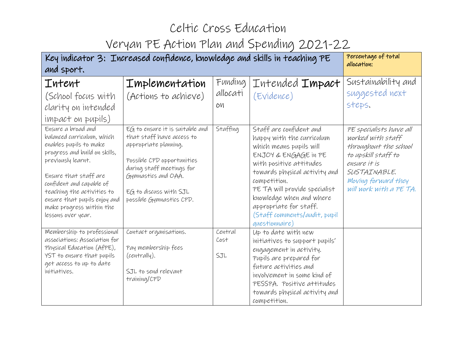| Key indicator 3: Increased confidence, knowledge and skills in teaching PE                                                                                                                                                                                                                             |                                                                                                                                                                                                                               |                           |                                                                                                                                                                                                                                                                                                                              | Percentage of total<br>allocation:                                                                                                                                             |
|--------------------------------------------------------------------------------------------------------------------------------------------------------------------------------------------------------------------------------------------------------------------------------------------------------|-------------------------------------------------------------------------------------------------------------------------------------------------------------------------------------------------------------------------------|---------------------------|------------------------------------------------------------------------------------------------------------------------------------------------------------------------------------------------------------------------------------------------------------------------------------------------------------------------------|--------------------------------------------------------------------------------------------------------------------------------------------------------------------------------|
| and sport.                                                                                                                                                                                                                                                                                             |                                                                                                                                                                                                                               |                           |                                                                                                                                                                                                                                                                                                                              |                                                                                                                                                                                |
| <b>Intent</b><br>(School focus with<br>clarity on intended<br>impact on pupils)                                                                                                                                                                                                                        | <b>Implementation</b><br>(Actions to achieve)                                                                                                                                                                                 | Funding<br>allocati<br>OИ | Intended <b>Impact</b><br>(Evidence)                                                                                                                                                                                                                                                                                         | Sustainability and<br>suggested next<br>steps.                                                                                                                                 |
| Ensure a broad and<br>balanced curriculum, which<br>enables pupils to make<br>progress and build on skills,<br>previously learnt.<br>Ensure that staff are<br>confident and capable of<br>teaching the activities to<br>ensure that pupils enjoy and<br>make progress within the<br>lessons over year. | EG to ensure it is suitable and<br>that staff have access to<br>appropriate planning.<br>Possible CPD opportunities<br>during staff meetings for<br>Gymnastics and OAA.<br>EG to discuss with SJL<br>possible Gymnastics CPD. | Staffing                  | Staff are confident and<br>happy with the curriculum<br>which means pupils will<br>ENJOY & ENGAGE IN PE<br>with positive attitudes<br>towards physical activity and<br>competition.<br>PE TA will provide specialist<br>knowledge when and where<br>appropriate for staff.<br>(Staff comments/audit, pupil<br>questionnaire) | PE specialists have all<br>worked with staff<br>throughout the school<br>to upskill staff to<br>ensure it is<br>SUSTAINABLE.<br>Moving forward they<br>will work with a PE TA. |
| Membership to professional<br>associations: Association for<br>Physical Education (AfPE),<br>YST to ensure that pupils<br>get access to up to date<br>initiatives.                                                                                                                                     | Contact organisations.<br>Pay membership fees<br>(centrally).<br>SJL to send relevant<br>training/CPD                                                                                                                         | Central<br>Cost<br>SJL    | Up to date with new<br>initiatives to support pupils'<br>engagement in activity.<br>Pupils are prepared for<br>future activities and<br>involvement in some kind of<br>PESSPA. Positive attitudes<br>towards physical activity and<br>competition.                                                                           |                                                                                                                                                                                |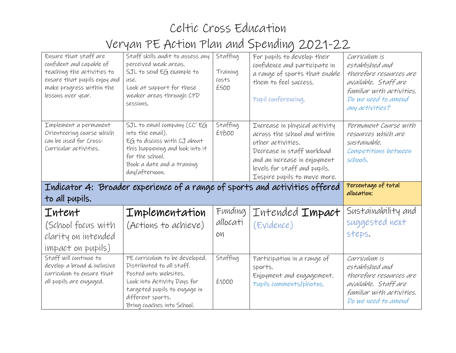## Celtic Cross Education Veryan PE Action Plan and Spending 2021-22

| Ensure that staff are<br>confident and capable of<br>teaching the activities to<br>ensure that pupils enjoy and<br>make progress within the<br>lessons over year. | Staff skills audit to assess any<br>perceived weak areas.<br>SJL to send EG example to<br>use.<br>Look at support for those<br>weaker areas through CPD<br>sessions.                  | Staffing<br>Training<br>costs<br>£500 | For pupils to develop their<br>confidence and participate in<br>a range of sports that enable<br>them to feel success.<br>Pupil conferencing.                                                                    | Curriculum is<br>established and<br>therefore resources are<br>available. Staff are<br>familiar with activities.<br>Do we need to amend<br>any activities? |
|-------------------------------------------------------------------------------------------------------------------------------------------------------------------|---------------------------------------------------------------------------------------------------------------------------------------------------------------------------------------|---------------------------------------|------------------------------------------------------------------------------------------------------------------------------------------------------------------------------------------------------------------|------------------------------------------------------------------------------------------------------------------------------------------------------------|
| Implement a permanent<br>Orienteering course which<br>can be used for Cross-<br>Curricular activities.                                                            | SJL to email company (CC' EG<br>into the email).<br>EG to discuss with CJ about<br>this happening and look into it<br>for the school.<br>Book a date and a training<br>day/afternoon. | Staffing<br>£1800                     | Increase in physical activity<br>across the school and within<br>other activities.<br>Decrease in staff workload<br>and an increase in enjoyment<br>levels for staff and pupils.<br>Inspire pupils to move more. | Permanent Course with<br>resources which are<br>sustainable.<br>Competitions between<br>schools.                                                           |
| to all pupils.                                                                                                                                                    |                                                                                                                                                                                       |                                       | Indicator 4: Broader experience of a range of sports and activities offered                                                                                                                                      | Percentage of total<br>allocation:                                                                                                                         |
| Intent<br>(School focus with<br>clarity on intended<br>impact on pupils)                                                                                          | Implementation<br>(Actions to achieve)                                                                                                                                                | Funding<br>allocati<br>OИ             | Intended <b>Impact</b><br>(Evidence)                                                                                                                                                                             | Sustainability and<br>suggested next<br>steps.                                                                                                             |
| Staff will continue to<br>develop a broad & inclusive<br>curriculum to ensure that<br>all pupils are engaged.                                                     | PE curriculum to be developed.<br>Distributed to all staff.<br>Posted onto websites.<br>Look into Activity Days for<br>targeted pupils to engage in                                   | Staffing<br>£1000                     | Participation in a range of<br>sports.<br>Enjoyment and engagement.<br>Pupils comments/photos.                                                                                                                   | Curriculum is<br>established and<br>therefore resources are<br>available. Staff are<br>familiar with activities.                                           |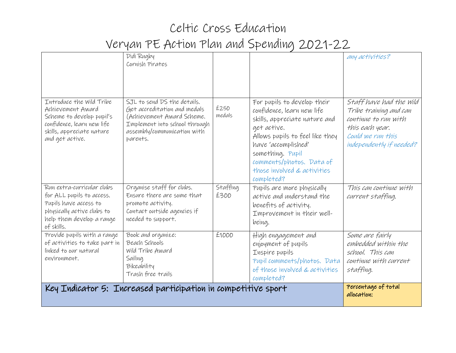|                                                                                                                                                           | Didi Rugby<br>Cornish Pirates                                                                                                                                         |                  |                                                                                                                                                                                                                                                                  | any activities?                                                                                                                               |
|-----------------------------------------------------------------------------------------------------------------------------------------------------------|-----------------------------------------------------------------------------------------------------------------------------------------------------------------------|------------------|------------------------------------------------------------------------------------------------------------------------------------------------------------------------------------------------------------------------------------------------------------------|-----------------------------------------------------------------------------------------------------------------------------------------------|
| Introduce the Wild Tribe<br>Achievement Award<br>Scheme to develop pupil's<br>confidence, learn new life<br>skills, appreciate nature<br>and get active.  | SJL to send DS the details.<br>Get accreditation and medals<br>(Achievement Award Scheme.<br>Implement into school through<br>assembly/communication with<br>parents. | £250<br>medals   | For pupils to develop their<br>confidence, learn new life<br>skills, appreciate nature and<br>get active.<br>Allows pupils to feel like they<br>have 'accomplished'<br>something. Pupil<br>comments/photos. Data of<br>those involved & activities<br>completed? | Staff have had the wild<br>Tribe training and can<br>continue to run with<br>this each year.<br>Could we run this<br>independently if needed? |
| Run extra-curricular clubs<br>for ALL pupils to access.<br>Pupils have access to<br>physically active clubs to<br>help them develop a range<br>of skills. | Organise staff for clubs.<br>Ensure there are some that<br>promote activity.<br>Contact outside agencies if<br>needed to support.                                     | Staffing<br>£300 | Pupils are more physically<br>active and understand the<br>benefits of activity.<br>Improvement in their well-<br>being.                                                                                                                                         | This can continue with<br>current staffing.                                                                                                   |
| Provide pupils with a range<br>of activities to take part in<br>linked to our natural<br>environment,                                                     | Book and organize:<br>Beach Schools<br>Wild Tribe Award<br>Sailing<br>Bikeability<br>Trash free trails                                                                | £1000            | High engagement and<br>enjoyment of pupils<br>Inspire pupils<br>Pupil comments/photos. Data<br>of those involved & activities<br>completed?                                                                                                                      | Some are fairly<br>embedded within the<br>school. This can<br>continue with current<br>staffing.                                              |
|                                                                                                                                                           | Key Indicator 5: Increased participation in competitive sport                                                                                                         |                  |                                                                                                                                                                                                                                                                  | Percentage of total<br>allocation:                                                                                                            |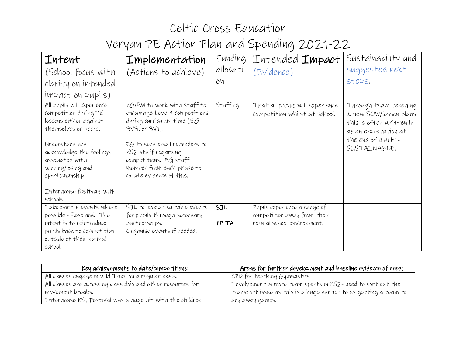| <b>Intent</b><br>(School focus with<br>clarity on intended<br>impact on pupils)                                                                                                                                                                         | <b>Implementation</b><br>(Actions to achieve)                                                                                                                                                                                                               | Funding<br>allocati<br>OM | Intended <b>Impact</b><br>(Evidence)                                                      | Sustainability and<br>suggested next<br>steps.                                                                                               |
|---------------------------------------------------------------------------------------------------------------------------------------------------------------------------------------------------------------------------------------------------------|-------------------------------------------------------------------------------------------------------------------------------------------------------------------------------------------------------------------------------------------------------------|---------------------------|-------------------------------------------------------------------------------------------|----------------------------------------------------------------------------------------------------------------------------------------------|
| All pupils will experience<br>competition during PE<br>lessons either against<br>themselves or peers.<br>Understand and<br>acknowledge the feelings<br>associated with<br>winning/losing and<br>sportsmanship.<br>Interhouse festivals with<br>schools. | EG/RW to work with staff to<br>encourage Level 1 competitions<br>during curriculum time (E.G<br>3V3, or 3V1).<br>$EG$ to send email reminders to<br>KS2 staff regarding<br>competitions. EG staff<br>member from each phase to<br>collate evidence of this. | Staffing                  | That all pupils will experience<br>competition whilst at school.                          | Through team teaching<br>& new SOW/lesson plans<br>this is often written in<br>as an expectation at<br>the end of a unit $-$<br>SUSTAINABLE. |
| Take part in events where<br>possible-Roseland. The<br>intent is to reintroduce<br>pupils back to competition<br>outside of their normal<br>school.                                                                                                     | SJL to look at suitable events<br>for pupils through secondary<br>partnerships.<br>Organise events if needed.                                                                                                                                               | SJL<br>PE TA              | Pupils experience a range of<br>competition away from their<br>normal school environment. |                                                                                                                                              |

| Key achievements to date/competitions:                          | Areas for further development and baseline evidence of need:      |
|-----------------------------------------------------------------|-------------------------------------------------------------------|
| All classes engage in wild Tribe on a regular basis.            | CPD for teaching Gymnastics                                       |
| All classes are accessing class dojo and other resources for    | Involvement in more team sports in KS2- need to sort out the      |
| movement breaks.                                                | transport issue as this is a huge barrier to us getting a team to |
| $\mid$ Interhouse KS1 Festival was a huge hit with the children | any away games.                                                   |